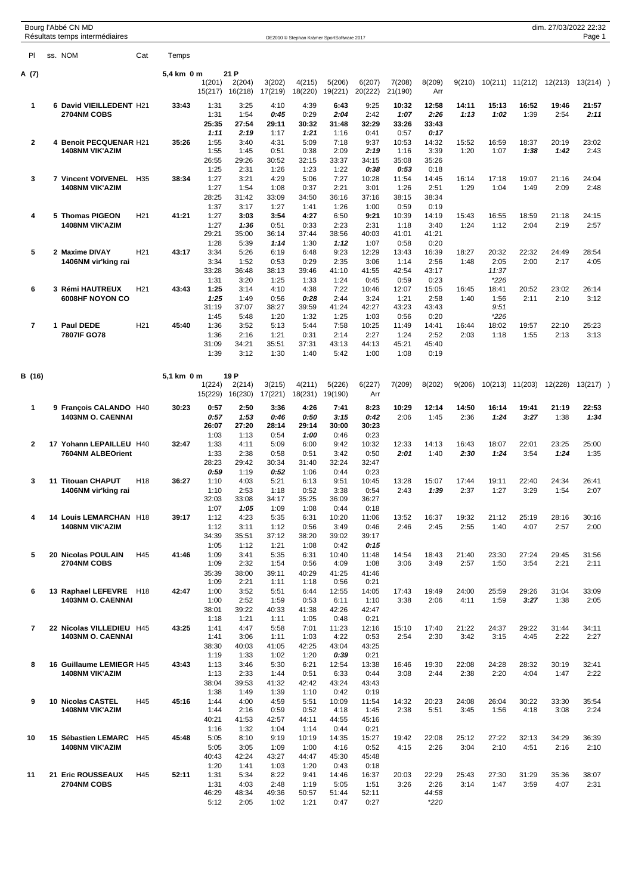|                | Bourg l'Abbé CN MD<br>Résultats temps intermédiaires |                 |            |                   |                   |                   | OE2010 © Stephan Krämer SportSoftware 2017 |                   |                   |                   |               |               |                 |                 | dim. 27/03/2022 22:32 | Page 1        |
|----------------|------------------------------------------------------|-----------------|------------|-------------------|-------------------|-------------------|--------------------------------------------|-------------------|-------------------|-------------------|---------------|---------------|-----------------|-----------------|-----------------------|---------------|
| PI             | ss. NOM                                              | Cat             | Temps      |                   |                   |                   |                                            |                   |                   |                   |               |               |                 |                 |                       |               |
| A (7)          |                                                      |                 | 5,4 km 0 m |                   | 21 P              |                   |                                            |                   |                   |                   |               |               |                 |                 |                       |               |
|                |                                                      |                 |            | 1(201)<br>15(217) | 2(204)<br>16(218) | 3(202)<br>17(219) | 4(215)<br>18(220)                          | 5(206)<br>19(221) | 6(207)<br>20(222) | 7(208)<br>21(190) | 8(209)<br>Arr | 9(210)        |                 | 10(211) 11(212) | 12(213)               | 13(214)       |
| $\mathbf{1}$   | 6 David VIEILLEDENT H21                              |                 | 33:43      | 1:31              | 3:25              | 4:10              | 4:39                                       | 6:43              | 9:25              | 10:32             | 12:58         | 14:11         | 15:13           | 16:52           | 19:46                 | 21:57         |
|                | 2704NM COBS                                          |                 |            | 1:31<br>25:35     | 1:54<br>27:54     | 0:45<br>29:11     | 0:29<br>30:32                              | 2:04<br>31:48     | 2:42<br>32:29     | 1:07<br>33:26     | 2:26<br>33:43 | 1:13          | 1:02            | 1:39            | 2:54                  | 2:11          |
|                |                                                      |                 |            | 1:11              | 2:19              | 1:17              | 1:21                                       | 1:16              | 0:41              | 0:57              | 0:17          |               |                 |                 |                       |               |
| $\overline{2}$ | 4 Benoit PECQUENAR H21<br><b>1408NM VIK'AZIM</b>     |                 | 35:26      | 1:55<br>1:55      | 3:40<br>1:45      | 4:31<br>0:51      | 5:09<br>0:38                               | 7:18<br>2:09      | 9:37<br>2:19      | 10:53<br>1:16     | 14:32<br>3:39 | 15:52<br>1:20 | 16:59<br>1:07   | 18:37<br>1:38   | 20:19<br>1:42         | 23:02<br>2:43 |
|                |                                                      |                 |            | 26:55             | 29:26             | 30:52             | 32:15                                      | 33:37             | 34:15             | 35:08             | 35:26         |               |                 |                 |                       |               |
| 3              | 7 Vincent VOIVENEL                                   | H <sub>35</sub> | 38:34      | 1:25<br>1:27      | 2:31<br>3:21      | 1:26<br>4:29      | 1:23<br>5:06                               | 1:22<br>7:27      | 0:38<br>10:28     | 0:53<br>11:54     | 0:18<br>14:45 | 16:14         | 17:18           | 19:07           | 21:16                 | 24:04         |
|                | <b>1408NM VIK'AZIM</b>                               |                 |            | 1:27              | 1:54              | 1:08              | 0:37                                       | 2:21              | 3:01              | 1:26              | 2:51          | 1:29          | 1:04            | 1:49            | 2:09                  | 2:48          |
|                |                                                      |                 |            | 28:25<br>1:37     | 31:42             | 33:09             | 34:50<br>1:41                              | 36:16<br>1:26     | 37:16<br>1:00     | 38:15             | 38:34<br>0:19 |               |                 |                 |                       |               |
| 4              | 5 Thomas PIGEON                                      | H <sub>21</sub> | 41:21      | 1:27              | 3:17<br>3:03      | 1:27<br>3:54      | 4:27                                       | 6:50              | 9:21              | 0:59<br>10:39     | 14:19         | 15:43         | 16:55           | 18:59           | 21:18                 | 24:15         |
|                | <b>1408NM VIK'AZIM</b>                               |                 |            | 1:27              | 1:36              | 0:51              | 0:33                                       | 2:23              | 2:31              | 1:18              | 3:40          | 1:24          | 1:12            | 2:04            | 2:19                  | 2:57          |
|                |                                                      |                 |            | 29:21<br>1:28     | 35:00<br>5:39     | 36:14<br>1:14     | 37:44<br>1:30                              | 38:56<br>1:12     | 40:03<br>1:07     | 41:01<br>0:58     | 41:21<br>0:20 |               |                 |                 |                       |               |
| 5              | 2 Maxime DIVAY                                       | H <sub>21</sub> | 43:17      | 3:34              | 5:26              | 6:19              | 6:48                                       | 9:23              | 12:29             | 13:43             | 16:39         | 18:27         | 20:32           | 22:32           | 24:49                 | 28:54         |
|                | 1406NM vir'king rai                                  |                 |            | 3:34<br>33:28     | 1:52<br>36:48     | 0:53<br>38:13     | 0:29<br>39:46                              | 2:35<br>41:10     | 3:06<br>41:55     | 1:14<br>42:54     | 2:56<br>43:17 | 1:48          | 2:05<br>11:37   | 2:00            | 2:17                  | 4:05          |
|                |                                                      |                 |            | 1:31              | 3:20              | 1:25              | 1:33                                       | 1:24              | 0:45              | 0:59              | 0:23          |               | $*226$          |                 |                       |               |
| 6              | 3 Rémi HAUTREUX<br>6008HF NOYON CO                   | H <sub>21</sub> | 43:43      | 1:25<br>1:25      | 3:14<br>1:49      | 4:10<br>0:56      | 4:38<br>0:28                               | 7:22<br>2:44      | 10:46<br>3:24     | 12:07<br>1:21     | 15:05<br>2:58 | 16:45<br>1:40 | 18:41<br>1:56   | 20:52<br>2:11   | 23:02<br>2:10         | 26:14<br>3:12 |
|                |                                                      |                 |            | 31:19             | 37:07             | 38:27             | 39:59                                      | 41:24             | 42:27             | 43:23             | 43:43         |               | 9:51            |                 |                       |               |
| 7              | 1 Paul DEDE                                          | H <sub>21</sub> | 45:40      | 1:45<br>1:36      | 5:48<br>3:52      | 1:20<br>5:13      | 1:32<br>5:44                               | 1:25<br>7:58      | 1:03<br>10:25     | 0:56<br>11:49     | 0:20<br>14:41 | 16:44         | $*226$<br>18:02 | 19:57           | 22:10                 | 25:23         |
|                | 7807IF GO78                                          |                 |            | 1:36              | 2:16              | 1:21              | 0:31                                       | 2:14              | 2:27              | 1:24              | 2:52          | 2:03          | 1:18            | 1:55            | 2:13                  | 3:13          |
|                |                                                      |                 |            | 31:09<br>1:39     | 34:21<br>3:12     | 35:51<br>1:30     | 37:31<br>1:40                              | 43:13<br>5:42     | 44:13<br>1:00     | 45:21<br>1:08     | 45:40<br>0:19 |               |                 |                 |                       |               |
|                |                                                      |                 |            |                   |                   |                   |                                            |                   |                   |                   |               |               |                 |                 |                       |               |
| B (16)         |                                                      |                 | 5,1 km 0 m |                   | 19 P              |                   |                                            |                   |                   |                   |               |               |                 |                 |                       |               |
|                |                                                      |                 |            | 1(224)<br>15(229) | 2(214)<br>16(230) | 3(215)<br>17(221) | 4(211)<br>18(231)                          | 5(226)<br>19(190) | 6(227)<br>Arr     | 7(209)            | 8(202)        | 9(206)        | 10(213)         | 11(203)         | 12(228)               | 13(217)       |
| $\mathbf 1$    | 9 François CALANDO H40                               |                 | 30:23      | 0:57              | 2:50              | 3:36              | 4:26                                       | 7:41              | 8:23              | 10:29             | 12:14         | 14:50         | 16:14           | 19:41           | 21:19                 | 22:53         |
|                | <b>1403NM O. CAENNAI</b>                             |                 |            | 0.57              | 1:53              | 0:46              | 0:50                                       | 3:15              | 0:42              | 2:06              | 1:45          | 2:36          | 1:24            | 3:27            | 1:38                  | 1:34          |
|                |                                                      |                 |            | 26:07<br>1:03     | 27:20<br>1:13     | 28:14<br>0:54     | 29:14<br>1:00                              | 30:00<br>0:46     | 30:23<br>0:23     |                   |               |               |                 |                 |                       |               |
| 2              | 17 Yohann LEPAILLEU H40                              |                 | 32:47      | 1:33              | 4:11              | 5:09              | 6:00                                       | 9:42              | 10:32             | 12:33             | 14:13         | 16:43         | 18:07           | 22:01           | 23:25                 | 25:00         |
|                | 7604NM ALBEOrient                                    |                 |            | 1:33<br>28:23     | 2:38<br>29:42     | 0:58<br>30:34     | 0:51<br>31:40                              | 3:42<br>32:24     | 0:50<br>32:47     | 2:01              | 1:40          | 2:30          | 1:24            | 3:54            | 1:24                  | 1:35          |
|                |                                                      |                 |            | 0:59              | 1:19              | 0:52              | 1:06                                       | 0:44              | 0:23              |                   |               |               |                 |                 |                       |               |
| 3              | 11 Titouan CHAPUT<br>1406NM vir'king rai             | H <sub>18</sub> | 36:27      | 1:10<br>1:10      | 4:03<br>2:53      | 5:21<br>1:18      | 6:13<br>0:52                               | 9:51<br>3:38      | 10:45<br>0:54     | 13:28<br>2:43     | 15:07<br>1:39 | 17:44<br>2:37 | 19:11<br>1:27   | 22:40<br>3:29   | 24:34<br>1:54         | 26:41<br>2:07 |
|                |                                                      |                 |            | 32:03             | 33:08             | 34:17             | 35:25                                      | 36:09             | 36:27             |                   |               |               |                 |                 |                       |               |
| 4              | 14 Louis LEMARCHAN H18                               |                 | 39:17      | 1:07<br>1:12      | 1:05<br>4:23      | 1:09<br>5:35      | 1:08<br>6:31                               | 0:44<br>10:20     | 0:18<br>11:06     | 13:52             | 16:37         | 19:32         | 21:12           | 25:19           | 28:16                 | 30:16         |
|                | <b>1408NM VIK'AZIM</b>                               |                 |            | 1:12              | 3:11              | 1:12              | 0:56                                       | 3:49              | 0:46              | 2:46              | 2:45          | 2:55          | 1:40            | 4:07            | 2:57                  | 2:00          |
|                |                                                      |                 |            | 34:39             | 35:51             | 37:12             | 38:20                                      | 39:02             | 39:17             |                   |               |               |                 |                 |                       |               |
| 5              | 20 Nicolas POULAIN                                   | H45             | 41:46      | 1:05<br>1:09      | 1:12<br>3:41      | 1:21<br>5:35      | 1:08<br>6:31                               | 0:42<br>10:40     | 0:15<br>11:48     | 14:54             | 18:43         | 21:40         | 23:30           | 27:24           | 29:45                 | 31:56         |
|                | 2704NM COBS                                          |                 |            | 1:09              | 2:32              | 1:54              | 0:56                                       | 4:09              | 1:08              | 3:06              | 3:49          | 2:57          | 1:50            | 3:54            | 2:21                  | 2:11          |
|                |                                                      |                 |            | 35:39<br>1:09     | 38:00<br>2:21     | 39:11<br>1:11     | 40:29<br>1:18                              | 41:25<br>0:56     | 41:46<br>0:21     |                   |               |               |                 |                 |                       |               |
| 6              | 13 Raphael LEFEVRE H18                               |                 | 42:47      | 1:00              | 3:52              | 5:51              | 6:44                                       | 12:55             | 14:05             | 17:43             | 19:49         | 24:00         | 25:59           | 29:26           | 31:04                 | 33:09         |
|                | <b>1403NM O. CAENNAI</b>                             |                 |            | 1:00<br>38:01     | 2:52<br>39:22     | 1:59<br>40:33     | 0:53<br>41:38                              | 6:11<br>42:26     | 1:10<br>42:47     | 3:38              | 2:06          | 4:11          | 1:59            | 3:27            | 1:38                  | 2:05          |
|                |                                                      |                 |            | 1:18              | 1:21              | 1:11              | 1:05                                       | 0:48              | 0:21              |                   |               |               |                 |                 |                       |               |
| $\overline{7}$ | 22 Nicolas VILLEDIEU H45<br><b>1403NM O. CAENNAI</b> |                 | 43:25      | 1:41<br>1:41      | 4:47<br>3:06      | 5:58<br>1:11      | 7:01<br>1:03                               | 11:23<br>4:22     | 12:16<br>0:53     | 15:10<br>2:54     | 17:40<br>2:30 | 21:22<br>3:42 | 24:37<br>3:15   | 29:22<br>4:45   | 31:44<br>2:22         | 34:11<br>2:27 |
|                |                                                      |                 |            | 38:30             | 40:03             | 41:05             | 42:25                                      | 43:04             | 43:25             |                   |               |               |                 |                 |                       |               |
|                |                                                      |                 |            | 1:19              | 1:33              | 1:02              | 1:20                                       | 0:39              | 0:21              |                   |               |               |                 |                 |                       |               |
| 8              | 16 Guillaume LEMIEGR H45<br><b>1408NM VIK'AZIM</b>   |                 | 43:43      | 1:13<br>1:13      | 3:46<br>2:33      | 5:30<br>1:44      | 6:21<br>0:51                               | 12:54<br>6:33     | 13:38<br>0:44     | 16:46<br>3:08     | 19:30<br>2:44 | 22:08<br>2:38 | 24:28<br>2:20   | 28:32<br>4:04   | 30:19<br>1:47         | 32:41<br>2:22 |
|                |                                                      |                 |            | 38:04             | 39:53             | 41:32             | 42:42                                      | 43:24             | 43:43             |                   |               |               |                 |                 |                       |               |
| 9              | 10 Nicolas CASTEL                                    | H45             | 45:16      | 1:38<br>1:44      | 1:49<br>4:00      | 1:39<br>4:59      | 1:10<br>5:51                               | 0:42<br>10:09     | 0:19<br>11:54     | 14:32             | 20:23         | 24:08         | 26:04           | 30:22           | 33:30                 | 35:54         |
|                | <b>1408NM VIK'AZIM</b>                               |                 |            | 1:44              | 2:16              | 0:59              | 0:52                                       | 4:18              | 1:45              | 2:38              | 5:51          | 3:45          | 1:56            | 4:18            | 3:08                  | 2:24          |
|                |                                                      |                 |            | 40:21<br>1:16     | 41:53<br>1:32     | 42:57<br>1:04     | 44:11<br>1:14                              | 44:55<br>0:44     | 45:16<br>0:21     |                   |               |               |                 |                 |                       |               |
| 10             | 15 Sébastien LEMARC                                  | H45             | 45:48      | 5:05              | 8:10              | 9:19              | 10:19                                      | 14:35             | 15:27             | 19:42             | 22:08         | 25:12         | 27:22           | 32:13           | 34:29                 | 36:39         |
|                | <b>1408NM VIK'AZIM</b>                               |                 |            | 5:05<br>40:43     | 3:05<br>42:24     | 1:09<br>43:27     | 1:00<br>44:47                              | 4:16<br>45:30     | 0:52<br>45:48     | 4:15              | 2:26          | 3:04          | 2:10            | 4:51            | 2:16                  | 2:10          |
|                |                                                      |                 |            | 1:20              | 1:41              | 1:03              | 1:20                                       | 0:43              | 0:18              |                   |               |               |                 |                 |                       |               |
| 11             | 21 Eric ROUSSEAUX<br>2704NM COBS                     | H45             | 52:11      | 1:31<br>1:31      | 5:34<br>4:03      | 8:22<br>2:48      | 9:41<br>1:19                               | 14:46<br>5:05     | 16:37<br>1:51     | 20:03<br>3:26     | 22:29<br>2:26 | 25:43<br>3:14 | 27:30<br>1:47   | 31:29<br>3:59   | 35:36<br>4:07         | 38:07<br>2:31 |
|                |                                                      |                 |            | 46:29             | 48:34             | 49:36             | 50:57                                      | 51:44             | 52:11             |                   | 44:58         |               |                 |                 |                       |               |
|                |                                                      |                 |            | 5:12              | 2:05              | 1:02              | 1:21                                       | 0:47              | 0:27              |                   | $*220$        |               |                 |                 |                       |               |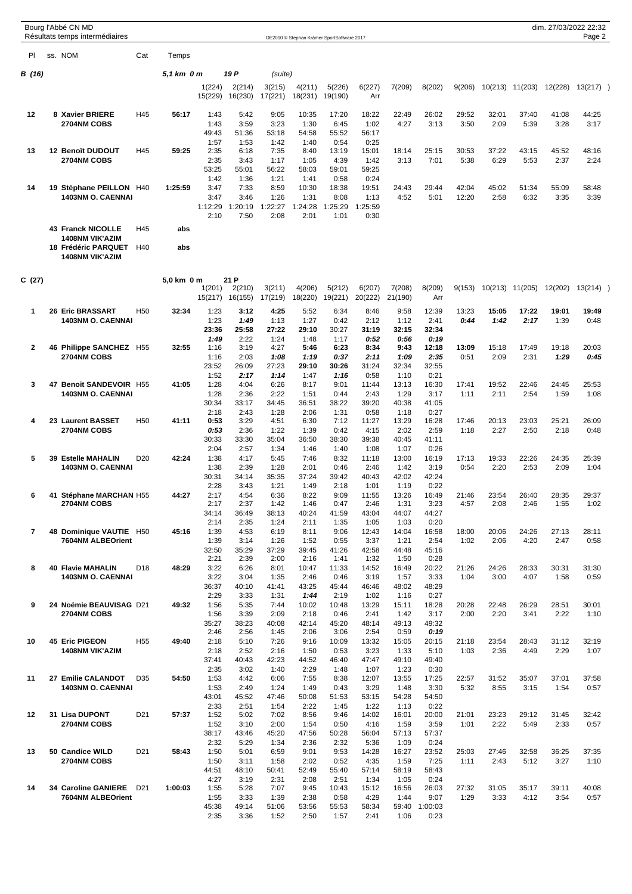|                          |    | Bourg l'Abbé CN MD<br>Résultats temps intermédiaires |                 |            |                   |                   |                   | OE2010 © Stephan Krämer SportSoftware 2017 |                   |                   |                   |               |                |               |               |               | dim. 27/03/2022 22:32<br>Page 2 |  |
|--------------------------|----|------------------------------------------------------|-----------------|------------|-------------------|-------------------|-------------------|--------------------------------------------|-------------------|-------------------|-------------------|---------------|----------------|---------------|---------------|---------------|---------------------------------|--|
| PI                       |    | ss. NOM                                              | Cat             | Temps      |                   |                   |                   |                                            |                   |                   |                   |               |                |               |               |               |                                 |  |
| B (16)                   |    |                                                      |                 | 5,1 km 0 m |                   | 19 P              | (suite)           |                                            |                   |                   |                   |               |                |               |               |               |                                 |  |
|                          |    |                                                      |                 |            | 1(224)<br>15(229) | 2(214)<br>16(230) | 3(215)<br>17(221) | 4(211)<br>18(231)                          | 5(226)<br>19(190) | 6(227)<br>Arr     | 7(209)            | 8(202)        | 9(206)         | 10(213)       | 11(203)       | 12(228)       | 13(217)                         |  |
| 12                       |    | 8 Xavier BRIERE                                      | H45             | 56:17      | 1:43              | 5:42              | 9:05              | 10:35                                      | 17:20             | 18:22             | 22:49             | 26:02         | 29:52          | 32:01         | 37:40         | 41:08         | 44:25                           |  |
|                          |    | 2704NM COBS                                          |                 |            | 1:43              | 3:59              | 3:23              | 1:30                                       | 6:45              | 1:02              | 4:27              | 3:13          | 3:50           | 2:09          | 5:39          | 3:28          | 3:17                            |  |
|                          |    |                                                      |                 |            | 49:43<br>1:57     | 51:36<br>1:53     | 53:18<br>1:42     | 54:58<br>1:40                              | 55:52<br>0:54     | 56:17<br>0:25     |                   |               |                |               |               |               |                                 |  |
| 13                       |    | 12 Benoît DUDOUT                                     | H45             | 59:25      | 2:35              | 6:18              | 7:35              | 8:40                                       | 13:19             | 15:01             | 18:14             | 25:15         | 30:53          | 37:22         | 43:15         | 45:52         | 48:16                           |  |
|                          |    | 2704NM COBS                                          |                 |            | 2:35<br>53:25     | 3:43<br>55:01     | 1:17<br>56:22     | 1:05<br>58:03                              | 4:39<br>59:01     | 1:42<br>59:25     | 3:13              | 7:01          | 5:38           | 6:29          | 5:53          | 2:37          | 2:24                            |  |
|                          |    |                                                      |                 |            | 1:42              | 1:36              | 1:21              | 1:41                                       | 0:58              | 0:24              |                   |               |                |               |               |               |                                 |  |
| 14                       |    | 19 Stéphane PEILLON H40<br><b>1403NM O. CAENNAI</b>  |                 | 1:25:59    | 3:47<br>3:47      | 7:33<br>3:46      | 8:59<br>1:26      | 10:30<br>1:31                              | 18:38<br>8:08     | 19:51<br>1:13     | 24:43<br>4:52     | 29:44<br>5:01 | 42:04<br>12:20 | 45:02<br>2:58 | 51:34<br>6:32 | 55:09<br>3:35 | 58:48<br>3:39                   |  |
|                          |    |                                                      |                 |            | 1:12:29           | 1:20:19           | 1:22:27           | 1:24:28                                    | 1:25:29           | 1:25:59           |                   |               |                |               |               |               |                                 |  |
|                          |    |                                                      |                 |            | 2:10              | 7:50              | 2:08              | 2:01                                       | 1:01              | 0:30              |                   |               |                |               |               |               |                                 |  |
|                          |    | <b>43 Franck NICOLLE</b><br><b>1408NM VIK'AZIM</b>   | H45             | abs        |                   |                   |                   |                                            |                   |                   |                   |               |                |               |               |               |                                 |  |
|                          |    | 18 Frédéric PARQUET<br><b>1408NM VIK'AZIM</b>        | H40             | abs        |                   |                   |                   |                                            |                   |                   |                   |               |                |               |               |               |                                 |  |
| C(27)                    |    |                                                      |                 | 5,0 km 0 m |                   | 21 P              |                   |                                            |                   |                   |                   |               |                |               |               |               |                                 |  |
|                          |    |                                                      |                 |            | 1(201)<br>15(217) | 2(210)<br>16(155) | 3(211)<br>17(219) | 4(206)<br>18(220)                          | 5(212)<br>19(221) | 6(207)<br>20(222) | 7(208)<br>21(190) | 8(209)<br>Arr | 9(153)         | 10(213)       | 11(205)       | 12(202)       | 13(214)                         |  |
| 1                        |    | 26 Eric BRASSART                                     | H <sub>50</sub> | 32:34      | 1:23              | 3:12              | 4:25              | 5:52                                       | 6:34              | 8:46              | 9:58              | 12:39         | 13:23          | 15:05         | 17:22         | 19:01         | 19:49                           |  |
|                          |    | <b>1403NM O. CAENNAI</b>                             |                 |            | 1:23              | 1:49              | 1:13              | 1:27                                       | 0:42              | 2:12              | 1:12              | 2:41          | 0:44           | 1:42          | 2:17          | 1:39          | 0:48                            |  |
|                          |    |                                                      |                 |            | 23:36<br>1:49     | 25:58<br>2:22     | 27:22<br>1:24     | 29:10<br>1:48                              | 30:27<br>1:17     | 31:19<br>0:52     | 32:15<br>0:56     | 32:34<br>0:19 |                |               |               |               |                                 |  |
| 2                        |    | 46 Philippe SANCHEZ H55                              |                 | 32:55      | 1:16              | 3:19              | 4:27              | 5:46                                       | 6:23              | 8:34              | 9:43              | 12:18         | 13:09          | 15:18         | 17:49         | 19:18         | 20:03                           |  |
|                          |    | 2704NM COBS                                          |                 |            | 1:16<br>23:52     | 2:03<br>26:09     | 1:08<br>27:23     | 1:19<br>29:10                              | 0:37<br>30:26     | 2:11<br>31:24     | 1:09<br>32:34     | 2:35<br>32:55 | 0:51           | 2:09          | 2:31          | 1:29          | 0:45                            |  |
|                          |    |                                                      |                 |            | 1:52              | 2:17              | 1:14              | 1:47                                       | 1:16              | 0:58              | 1:10              | 0:21          |                |               |               |               |                                 |  |
| 3                        |    | 47 Benoit SANDEVOIR H55<br><b>1403NM O. CAENNAI</b>  |                 | 41:05      | 1:28<br>1:28      | 4:04<br>2:36      | 6:26<br>2:22      | 8:17<br>1:51                               | 9:01<br>0:44      | 11:44<br>2:43     | 13:13<br>1:29     | 16:30<br>3:17 | 17:41<br>1:11  | 19:52<br>2:11 | 22:46<br>2:54 | 24:45<br>1:59 | 25:53<br>1:08                   |  |
|                          |    |                                                      |                 |            | 30:34             | 33:17             | 34:45             | 36:51                                      | 38:22             | 39:20             | 40:38             | 41:05         |                |               |               |               |                                 |  |
| 4                        |    | 23 Laurent BASSET                                    | H <sub>50</sub> | 41:11      | 2:18<br>0:53      | 2:43<br>3:29      | 1:28<br>4:51      | 2:06<br>6:30                               | 1:31<br>7:12      | 0:58<br>11:27     | 1:18<br>13:29     | 0:27<br>16:28 | 17:46          | 20:13         | 23:03         | 25:21         |                                 |  |
|                          |    | 2704NM COBS                                          |                 |            | 0:53              | 2:36              | 1:22              | 1:39                                       | 0:42              | 4:15              | 2:02              | 2:59          | 1:18           | 2:27          | 2:50          | 2:18          | 26:09<br>0:48                   |  |
|                          |    |                                                      |                 |            | 30:33             | 33:30             | 35:04             | 36:50                                      | 38:30             | 39:38             | 40:45             | 41:11         |                |               |               |               |                                 |  |
| 5                        |    | <b>39 Estelle MAHALIN</b>                            | D <sub>20</sub> | 42:24      | 2:04<br>1:38      | 2:57<br>4:17      | 1:34<br>5:45      | 1:46<br>7:46                               | 1:40<br>8:32      | 1:08<br>11:18     | 1:07<br>13:00     | 0:26<br>16:19 | 17:13          | 19:33         | 22:26         | 24:35         | 25:39                           |  |
|                          |    | 1403NM O. CAENNAI                                    |                 |            | 1:38              | 2:39              | 1:28              | 2:01                                       | 0:46              | 2:46              | 1:42              | 3:19          | 0:54           | 2:20          | 2:53          | 2:09          | 1:04                            |  |
|                          |    |                                                      |                 |            | 30:31<br>2:28     | 34:14<br>3:43     | 35:35<br>1:21     | 37:24<br>1:49                              | 39:42<br>2:18     | 40:43<br>1:01     | 42:02<br>1:19     | 42:24<br>0:22 |                |               |               |               |                                 |  |
| 6                        | 41 | Stéphane MARCHAN H55                                 |                 | 44:27      | 2:17              | 4:54              | 6:36              | 8:22                                       | 9:09              | 11:55             | 13:26             | 16:49         | 21:46          | 23:54         | 26:40         | 28:35         | 29:37                           |  |
|                          |    | 2704NM COBS                                          |                 |            | 2:17<br>34:14     | 2:37<br>36:49     | 1:42<br>38:13     | 1:46<br>40:24                              | 0:47<br>41:59     | 2:46<br>43:04     | 1:31<br>44:07     | 3:23<br>44:27 | 4:57           | 2:08          | 2:46          | 1:55          | 1:02                            |  |
|                          |    |                                                      |                 |            | 2:14              | 2:35              | 1:24              | 2:11                                       | 1:35              | 1:05              | 1:03              | 0:20          |                |               |               |               |                                 |  |
| $\overline{\phantom{a}}$ |    | 48 Dominique VAUTIE H50<br>7604NM ALBEOrient         |                 | 45:16      | 1:39<br>1:39      | 4:53<br>3:14      | 6:19<br>1:26      | 8:11<br>1:52                               | 9:06<br>0:55      | 12:43<br>3:37     | 14:04<br>1:21     | 16:58<br>2:54 | 18:00<br>1:02  | 20:06<br>2:06 | 24:26<br>4:20 | 27:13<br>2:47 | 28:11<br>0:58                   |  |
|                          |    |                                                      |                 |            | 32:50             | 35:29             | 37:29             | 39:45                                      | 41:26             | 42:58             | 44:48             | 45:16         |                |               |               |               |                                 |  |
| 8                        |    | <b>40 Flavie MAHALIN</b>                             | D <sub>18</sub> | 48:29      | 2:21<br>3:22      | 2:39<br>6:26      | 2:00<br>8:01      | 2:16<br>10:47                              | 1:41<br>11:33     | 1:32<br>14:52     | 1:50<br>16:49     | 0:28<br>20:22 | 21:26          | 24:26         | 28:33         | 30:31         | 31:30                           |  |
|                          |    | 1403NM O. CAENNAI                                    |                 |            | 3:22              | 3:04              | 1:35              | 2:46                                       | 0:46              | 3:19              | 1:57              | 3:33          | 1:04           | 3:00          | 4:07          | 1:58          | 0:59                            |  |
|                          |    |                                                      |                 |            | 36:37<br>2:29     | 40:10<br>3:33     | 41:41<br>1:31     | 43:25<br>1:44                              | 45:44<br>2:19     | 46:46<br>1:02     | 48:02<br>1:16     | 48:29<br>0:27 |                |               |               |               |                                 |  |
| 9                        |    | 24 Noémie BEAUVISAG D21                              |                 | 49:32      | 1:56              | 5:35              | 7:44              | 10:02                                      | 10:48             | 13:29             | 15:11             | 18:28         | 20:28          | 22:48         | 26:29         | 28:51         | 30:01                           |  |
|                          |    | 2704NM COBS                                          |                 |            | 1:56<br>35:27     | 3:39<br>38:23     | 2:09<br>40:08     | 2:18<br>42:14                              | 0:46<br>45:20     | 2:41<br>48:14     | 1:42<br>49:13     | 3:17<br>49:32 | 2:00           | 2:20          | 3:41          | 2:22          | 1:10                            |  |
|                          |    |                                                      |                 |            | 2:46              | 2:56              | 1:45              | 2:06                                       | 3:06              | 2:54              | 0:59              | 0:19          |                |               |               |               |                                 |  |
| 10                       |    | <b>45 Eric PIGEON</b><br><b>1408NM VIK'AZIM</b>      | H <sub>55</sub> | 49:40      | 2:18<br>2:18      | 5:10<br>2:52      | 7:26<br>2:16      | 9:16<br>1:50                               | 10:09<br>0:53     | 13:32<br>3:23     | 15:05<br>1:33     | 20:15<br>5:10 | 21:18<br>1:03  | 23:54<br>2:36 | 28:43<br>4:49 | 31:12<br>2:29 | 32:19<br>1:07                   |  |
|                          |    |                                                      |                 |            | 37:41             | 40:43             | 42:23             | 44:52                                      | 46:40             | 47:47             | 49:10             | 49:40         |                |               |               |               |                                 |  |
| 11                       |    | 27 Emilie CALANDOT                                   | D <sub>35</sub> | 54:50      | 2:35<br>1:53      | 3:02<br>4:42      | 1:40<br>6:06      | 2:29<br>7:55                               | 1:48<br>8:38      | 1:07<br>12:07     | 1:23<br>13:55     | 0:30<br>17:25 | 22:57          | 31:52         | 35:07         | 37:01         | 37:58                           |  |
|                          |    | 1403NM O. CAENNAI                                    |                 |            | 1:53              | 2:49              | 1:24              | 1:49                                       | 0:43              | 3:29              | 1:48              | 3:30          | 5:32           | 8:55          | 3:15          | 1:54          | 0:57                            |  |
|                          |    |                                                      |                 |            | 43:01<br>2:33     | 45:52<br>2:51     | 47:46             | 50:08<br>2:22                              | 51:53             | 53:15<br>1:22     | 54:28             | 54:50         |                |               |               |               |                                 |  |
| 12                       |    | 31 Lisa DUPONT                                       | D <sub>21</sub> | 57:37      | 1:52              | 5:02              | 1:54<br>7:02      | 8:56                                       | 1:45<br>9:46      | 14:02             | 1:13<br>16:01     | 0:22<br>20:00 | 21:01          | 23:23         | 29:12         | 31:45         | 32:42                           |  |
|                          |    | 2704NM COBS                                          |                 |            | 1:52              | 3:10              | 2:00              | 1:54                                       | 0:50              | 4:16              | 1:59              | 3:59          | 1:01           | 2:22          | 5:49          | 2:33          | 0:57                            |  |
|                          |    |                                                      |                 |            | 38:17<br>2:32     | 43:46<br>5:29     | 45:20<br>1:34     | 47:56<br>2:36                              | 50:28<br>2:32     | 56:04<br>5:36     | 57:13<br>1:09     | 57:37<br>0:24 |                |               |               |               |                                 |  |
| 13                       |    | 50 Candice WILD                                      | D <sub>21</sub> | 58:43      | 1:50              | 5:01              | 6:59              | 9:01                                       | 9:53              | 14:28             | 16:27             | 23:52         | 25:03          | 27:46         | 32:58         | 36:25         | 37:35                           |  |
|                          |    | 2704NM COBS                                          |                 |            | 1:50<br>44:51     | 3:11<br>48:10     | 1:58<br>50:41     | 2:02<br>52:49                              | 0:52<br>55:40     | 4:35<br>57:14     | 1:59<br>58:19     | 7:25<br>58:43 | 1:11           | 2:43          | 5:12          | 3:27          | 1:10                            |  |
|                          |    |                                                      |                 |            | 4:27              | 3:19              | 2:31              | 2:08                                       | 2:51              | 1:34              | 1:05              | 0:24          |                |               |               |               |                                 |  |
| 14                       |    | 34 Caroline GANIERE<br>7604NM ALBEOrient             | D <sub>21</sub> | 1:00:03    | 1:55<br>1:55      | 5:28<br>3:33      | 7:07<br>1:39      | 9:45<br>2:38                               | 10:43<br>0:58     | 15:12<br>4:29     | 16:56<br>1:44     | 26:03<br>9:07 | 27:32<br>1:29  | 31:05<br>3:33 | 35:17<br>4:12 | 39:11<br>3:54 | 40:08<br>0:57                   |  |
|                          |    |                                                      |                 |            | 45:38             | 49:14             | 51:06             | 53:56                                      | 55:53             | 58:34             | 59:40             | 1:00:03       |                |               |               |               |                                 |  |
|                          |    |                                                      |                 |            | 2:35              | 3:36              | 1:52              | 2:50                                       | 1:57              | 2:41              | 1:06              | 0:23          |                |               |               |               |                                 |  |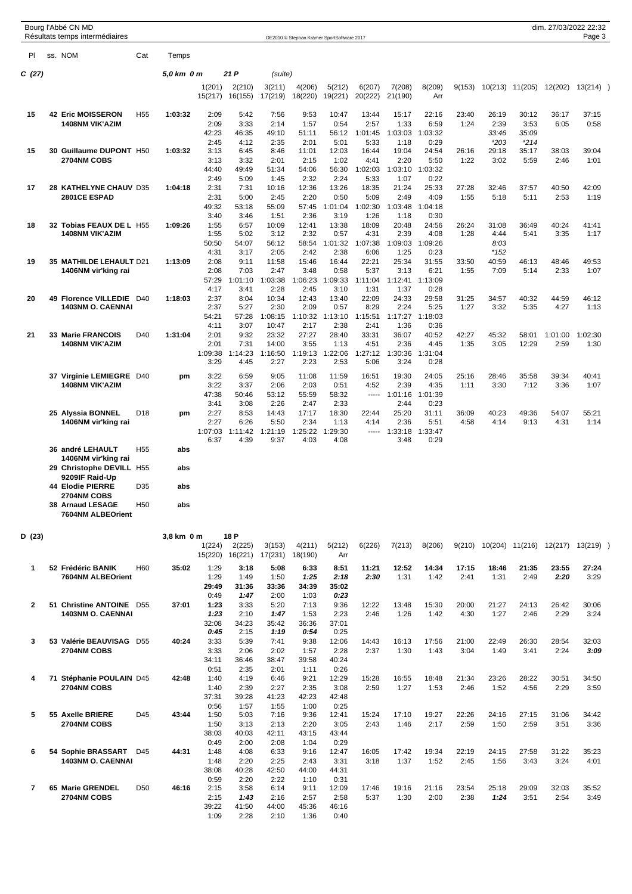|              | Bourg l'Abbé CN MD<br>Résultats temps intermédiaires        |                 |            |                   |                           |                   | OE2010 © Stephan Krämer SportSoftware 2017 |                   |                   |                   |                 |               |                 |                 | dim. 27/03/2022 22:32 | Page 3          |  |
|--------------|-------------------------------------------------------------|-----------------|------------|-------------------|---------------------------|-------------------|--------------------------------------------|-------------------|-------------------|-------------------|-----------------|---------------|-----------------|-----------------|-----------------------|-----------------|--|
| PI           | ss. NOM                                                     | Cat             | Temps      |                   |                           |                   |                                            |                   |                   |                   |                 |               |                 |                 |                       |                 |  |
| C (27)       |                                                             |                 | 5,0 km 0 m |                   | 21 P                      | (suite)           |                                            |                   |                   |                   |                 |               |                 |                 |                       |                 |  |
|              |                                                             |                 |            | 1(201)            | 2(210)<br>15(217) 16(155) | 3(211)<br>17(219) | 4(206)<br>18(220)                          | 5(212)<br>19(221) | 6(207)<br>20(222) | 7(208)<br>21(190) | 8(209)<br>Arr   | 9(153)        |                 | 10(213) 11(205) | 12(202)               | 13(214)         |  |
| 15           | <b>42 Eric MOISSERON</b>                                    | H <sub>55</sub> | 1:03:32    | 2:09              | 5:42                      | 7:56              | 9:53                                       | 10:47             | 13:44             | 15:17             | 22:16           | 23:40         | 26:19           | 30:12           | 36:17                 | 37:15           |  |
|              | <b>1408NM VIK'AZIM</b>                                      |                 |            | 2:09<br>42:23     | 3:33<br>46:35             | 2:14<br>49:10     | 1:57<br>51:11                              | 0:54<br>56:12     | 2:57<br>1:01:45   | 1:33<br>1:03:03   | 6:59<br>1:03:32 | 1:24          | 2:39<br>33:46   | 3:53<br>35:09   | 6:05                  | 0:58            |  |
|              |                                                             |                 |            | 2:45              | 4:12                      | 2:35              | 2:01                                       | 5:01              | 5:33              | 1:18              | 0:29            |               | $*203$          | $*214$          |                       |                 |  |
| 15           | 30 Guillaume DUPONT H50<br>2704NM COBS                      |                 | 1:03:32    | 3:13<br>3:13      | 6:45<br>3:32              | 8:46<br>2:01      | 11:01<br>2:15                              | 12:03<br>1:02     | 16:44<br>4:41     | 19:04<br>2:20     | 24:54<br>5:50   | 26:16<br>1:22 | 29:18<br>3:02   | 35:17<br>5:59   | 38:03<br>2:46         | 39:04<br>1:01   |  |
|              |                                                             |                 |            | 44:40             | 49:49                     | 51:34             | 54:06                                      | 56:30             | 1:02:03           | 1:03:10           | 1:03:32         |               |                 |                 |                       |                 |  |
| 17           | 28 KATHELYNE CHAUV D35                                      |                 | 1:04:18    | 2:49<br>2:31      | 5:09<br>7:31              | 1:45<br>10:16     | 2:32<br>12:36                              | 2:24<br>13:26     | 5:33<br>18:35     | 1:07<br>21:24     | 0:22<br>25:33   | 27:28         | 32:46           | 37:57           | 40:50                 | 42:09           |  |
|              | 2801CE ESPAD                                                |                 |            | 2:31<br>49:32     | 5:00<br>53:18             | 2:45<br>55:09     | 2:20<br>57:45                              | 0:50<br>1:01:04   | 5:09<br>1:02:30   | 2:49<br>1:03:48   | 4:09<br>1:04:18 | 1:55          | 5:18            | 5:11            | 2:53                  | 1:19            |  |
|              |                                                             |                 |            | 3:40              | 3:46                      | 1:51              | 2:36                                       | 3:19              | 1:26              | 1:18              | 0:30            |               |                 |                 |                       |                 |  |
| 18           | 32 Tobias FEAUX DE L H55<br><b>1408NM VIK'AZIM</b>          |                 | 1:09:26    | 1:55<br>1:55      | 6:57<br>5:02              | 10:09<br>3:12     | 12:41<br>2:32                              | 13:38<br>0:57     | 18:09<br>4:31     | 20:48<br>2:39     | 24:56<br>4:08   | 26:24<br>1:28 | 31:08<br>4:44   | 36:49<br>5:41   | 40:24<br>3:35         | 41:41<br>1:17   |  |
|              |                                                             |                 |            | 50:50             | 54:07                     | 56:12             | 58:54                                      | 1:01:32           | 1:07:38           | 1:09:03           | 1:09:26         |               | 8:03            |                 |                       |                 |  |
| 19           | 35 MATHILDE LEHAULT D21                                     |                 | 1:13:09    | 4:31<br>2:08      | 3:17<br>9:11              | 2:05<br>11:58     | 2:42<br>15:46                              | 2:38<br>16:44     | 6:06<br>22:21     | 1:25<br>25:34     | 0:23<br>31:55   | 33:50         | $*152$<br>40:59 | 46:13           | 48:46                 | 49:53           |  |
|              | 1406NM vir'king rai                                         |                 |            | 2:08              | 7:03                      | 2:47              | 3:48                                       | 0:58              | 5:37              | 3:13              | 6:21            | 1:55          | 7:09            | 5:14            | 2:33                  | 1:07            |  |
|              |                                                             |                 |            | 57:29<br>4:17     | 1:01:10<br>3:41           | 1:03:38<br>2:28   | 1:06:23<br>2:45                            | 1:09:33<br>3:10   | 1:11:04<br>1:31   | 1:12:41<br>1:37   | 1:13:09<br>0:28 |               |                 |                 |                       |                 |  |
| 20           | 49 Florence VILLEDIE                                        | D40             | 1:18:03    | 2:37              | 8:04                      | 10:34             | 12:43                                      | 13:40             | 22:09             | 24:33             | 29:58           | 31:25         | 34:57           | 40:32           | 44:59                 | 46:12           |  |
|              | <b>1403NM O. CAENNAI</b>                                    |                 |            | 2:37<br>54:21     | 5:27<br>57:28             | 2:30<br>1:08:15   | 2:09<br>1:10:32                            | 0:57<br>1:13:10   | 8:29<br>1:15:51   | 2:24<br>1:17:27   | 5:25<br>1:18:03 | 1:27          | 3:32            | 5:35            | 4:27                  | 1:13            |  |
|              |                                                             |                 |            | 4:11              | 3:07                      | 10:47             | 2:17                                       | 2:38              | 2:41              | 1:36              | 0:36            |               |                 |                 |                       |                 |  |
| 21           | 33 Marie FRANCOIS<br><b>1408NM VIK'AZIM</b>                 | D40             | 1:31:04    | 2:01<br>2:01      | 9:32<br>7:31              | 23:32<br>14:00    | 27:27<br>3:55                              | 28:40<br>1:13     | 33:31<br>4:51     | 36:07<br>2:36     | 40:52<br>4:45   | 42:27<br>1:35 | 45:32<br>3:05   | 58:01<br>12:29  | 1:01:00<br>2:59       | 1:02:30<br>1:30 |  |
|              |                                                             |                 |            | 1:09:38<br>3:29   | 1:14:23<br>4:45           | 1:16:50<br>2:27   | 1:19:13<br>2:23                            | 1:22:06<br>2:53   | 1:27:12<br>5:06   | 1:30:36<br>3:24   | 1:31:04<br>0:28 |               |                 |                 |                       |                 |  |
|              | 37 Virginie LEMIEGRE D40                                    |                 | pm         | 3:22              | 6:59                      | 9:05              | 11:08                                      | 11:59             | 16:51             | 19:30             | 24:05           | 25:16         | 28:46           | 35:58           | 39:34                 | 40:41           |  |
|              | <b>1408NM VIK'AZIM</b>                                      |                 |            | 3:22              | 3:37                      | 2:06              | 2:03                                       | 0:51              | 4:52              | 2:39              | 4:35            | 1:11          | 3:30            | 7:12            | 3:36                  | 1:07            |  |
|              |                                                             |                 |            | 47:38<br>3:41     | 50:46<br>3:08             | 53:12<br>2:26     | 55:59<br>2:47                              | 58:32<br>2:33     | 1.1.1.1           | 1:01:16<br>2:44   | 1:01:39<br>0:23 |               |                 |                 |                       |                 |  |
|              | 25 Alyssia BONNEL<br>1406NM vir'king rai                    | D18             | pm         | 2:27<br>2:27      | 8:53<br>6:26              | 14:43<br>5:50     | 17:17<br>2:34                              | 18:30<br>1:13     | 22:44<br>4:14     | 25:20<br>2:36     | 31:11<br>5:51   | 36:09<br>4:58 | 40:23<br>4:14   | 49:36<br>9:13   | 54:07<br>4:31         | 55:21<br>1:14   |  |
|              |                                                             |                 |            | 1:07:03           | 1:11:42                   | 1:21:19           | 1:25:22                                    | 1:29:30           | -----             | 1:33:18           | 1:33:47         |               |                 |                 |                       |                 |  |
|              | 36 andré LEHAULT                                            | H <sub>55</sub> | abs        | 6:37              | 4:39                      | 9:37              | 4:03                                       | 4:08              |                   | 3:48              | 0:29            |               |                 |                 |                       |                 |  |
|              | 1406NM vir'king rai                                         |                 |            |                   |                           |                   |                                            |                   |                   |                   |                 |               |                 |                 |                       |                 |  |
|              | 29 Christophe DEVILL H55<br>9209IF Raid-Up                  |                 | abs        |                   |                           |                   |                                            |                   |                   |                   |                 |               |                 |                 |                       |                 |  |
|              | 44 Elodie PIERRE                                            | D35             | abs        |                   |                           |                   |                                            |                   |                   |                   |                 |               |                 |                 |                       |                 |  |
|              | <b>2704NM COBS</b><br>38 Arnaud LESAGE<br>7604NM ALBEOrient | H <sub>50</sub> | abs        |                   |                           |                   |                                            |                   |                   |                   |                 |               |                 |                 |                       |                 |  |
|              |                                                             |                 |            |                   |                           |                   |                                            |                   |                   |                   |                 |               |                 |                 |                       |                 |  |
| D (23)       |                                                             |                 | 3,8 km 0 m | 1(224)<br>15(220) | 18 P<br>2(225)<br>16(221) | 3(153)<br>17(231) | 4(211)<br>18(190)                          | 5(212)<br>Arr     | 6(226)            | 7(213)            | 8(206)          | 9(210)        |                 | 10(204) 11(216) | 12(217)               | 13(219)         |  |
| 1            | 52 Frédéric BANIK                                           | H60             | 35:02      | 1:29              | 3:18                      | 5:08              | 6:33                                       | 8:51              | 11:21             | 12:52             | 14:34           | 17:15         | 18:46           | 21:35           | 23:55                 | 27:24           |  |
|              | 7604NM ALBEOrient                                           |                 |            | 1:29              | 1:49                      | 1:50              | 1:25                                       | 2:18              | 2:30              | 1:31              | 1:42            | 2:41          | 1:31            | 2:49            | 2:20                  | 3:29            |  |
|              |                                                             |                 |            | 29:49<br>0:49     | 31:36<br>1:47             | 33:36<br>2:00     | 34:39<br>1:03                              | 35:02<br>0:23     |                   |                   |                 |               |                 |                 |                       |                 |  |
| $\mathbf{2}$ | 51 Christine ANTOINE D55                                    |                 | 37:01      | 1:23<br>1:23      | 3:33                      | 5:20              | 7:13                                       | 9:36              | 12:22             | 13:48             | 15:30           | 20:00         | 21:27<br>1:27   | 24:13           | 26:42                 | 30:06           |  |
|              | <b>1403NM O. CAENNAI</b>                                    |                 |            | 32:08             | 2:10<br>34:23             | 1:47<br>35:42     | 1:53<br>36:36                              | 2:23<br>37:01     | 2:46              | 1:26              | 1:42            | 4:30          |                 | 2:46            | 2:29                  | 3:24            |  |
| 3            | 53 Valérie BEAUVISAG D55                                    |                 | 40:24      | 0:45<br>3:33      | 2:15<br>5:39              | 1:19<br>7:41      | 0:54<br>9:38                               | 0:25<br>12:06     | 14:43             |                   | 17:56           | 21:00         | 22:49           | 26:30           | 28:54                 | 32:03           |  |
|              | 2704NM COBS                                                 |                 |            | 3:33              | 2:06                      | 2:02              | 1:57                                       | 2:28              | 2:37              | 16:13<br>1:30     | 1:43            | 3:04          | 1:49            | 3:41            | 2:24                  | 3:09            |  |
|              |                                                             |                 |            | 34:11<br>0:51     | 36:46<br>2:35             | 38:47<br>2:01     | 39:58<br>1:11                              | 40:24<br>0:26     |                   |                   |                 |               |                 |                 |                       |                 |  |
| 4            | 71 Stéphanie POULAIN D45                                    |                 | 42:48      | 1:40              | 4:19                      | 6:46              | 9:21                                       | 12:29             | 15:28             | 16:55             | 18:48           | 21:34         | 23:26           | 28:22           | 30:51                 | 34:50           |  |
|              | 2704NM COBS                                                 |                 |            | 1:40<br>37:31     | 2:39<br>39:28             | 2:27<br>41:23     | 2:35<br>42:23                              | 3:08<br>42:48     | 2:59              | 1:27              | 1:53            | 2:46          | 1:52            | 4:56            | 2:29                  | 3:59            |  |
|              |                                                             |                 |            | 0:56              | 1:57                      | 1:55              | 1:00                                       | 0:25              |                   |                   |                 |               |                 |                 |                       |                 |  |
| 5            | 55 Axelle BRIERE<br>2704NM COBS                             | D45             | 43:44      | 1:50<br>1:50      | 5:03<br>3:13              | 7:16<br>2:13      | 9:36<br>2:20                               | 12:41<br>3:05     | 15:24<br>2:43     | 17:10<br>1:46     | 19:27<br>2:17   | 22:26<br>2:59 | 24:16<br>1:50   | 27:15<br>2:59   | 31:06<br>3:51         | 34:42<br>3:36   |  |
|              |                                                             |                 |            | 38:03             | 40:03                     | 42:11             | 43:15                                      | 43:44             |                   |                   |                 |               |                 |                 |                       |                 |  |
| 6            | 54 Sophie BRASSART                                          | D45             | 44:31      | 0:49<br>1:48      | 2:00<br>4:08              | 2:08<br>6:33      | 1:04<br>9:16                               | 0:29<br>12:47     | 16:05             | 17:42             | 19:34           | 22:19         | 24:15           | 27:58           | 31:22                 | 35:23           |  |
|              | 1403NM O. CAENNAI                                           |                 |            | 1:48              | 2:20                      | 2:25              | 2:43                                       | 3:31              | 3:18              | 1:37              | 1:52            | 2:45          | 1:56            | 3:43            | 3:24                  | 4:01            |  |
|              |                                                             |                 |            | 38:08<br>0:59     | 40:28<br>2:20             | 42:50<br>2:22     | 44:00<br>1:10                              | 44:31<br>0:31     |                   |                   |                 |               |                 |                 |                       |                 |  |
| 7            | 65 Marie GRENDEL                                            | D <sub>50</sub> | 46:16      | 2:15              | 3:58                      | 6:14              | 9:11                                       | 12:09             | 17:46             | 19:16             | 21:16           | 23:54         | 25:18           | 29:09           | 32:03                 | 35:52           |  |
|              | 2704NM COBS                                                 |                 |            | 2:15<br>39:22     | 1:43<br>41:50             | 2:16<br>44:00     | 2:57<br>45:36                              | 2:58<br>46:16     | 5:37              | 1:30              | 2:00            | 2:38          | 1:24            | 3:51            | 2:54                  | 3:49            |  |
|              |                                                             |                 |            | 1:09              | 2:28                      | 2:10              | 1:36                                       | 0:40              |                   |                   |                 |               |                 |                 |                       |                 |  |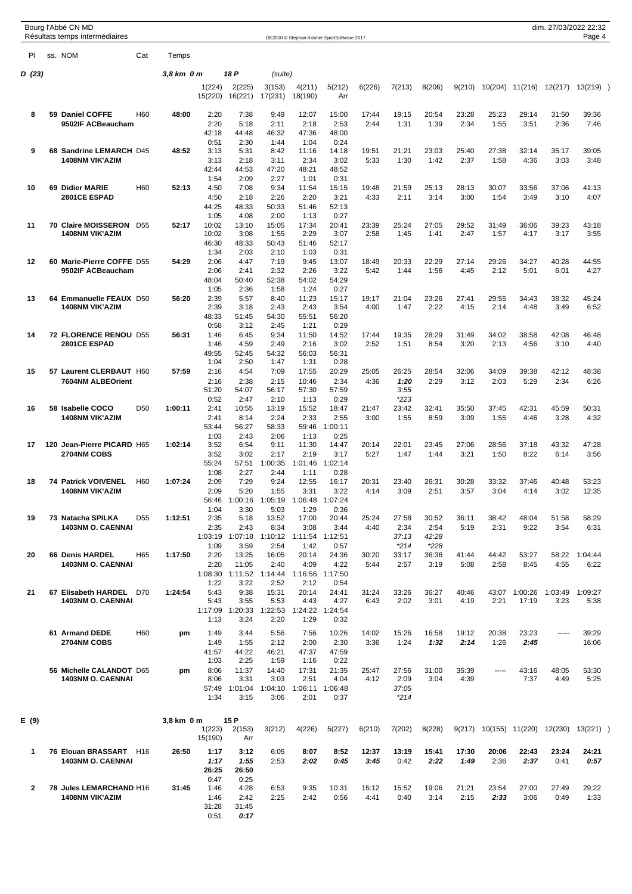|              |     | Bourg l'Abbé CN MD<br>Résultats temps intermédiaires |                 |            |                   |                                                   |                   |                   | OE2010 © Stephan Krämer SportSoftware 2017 |               |                 |                 |               |               |                 | dim. 27/03/2022 22:32 | Page 4        |  |
|--------------|-----|------------------------------------------------------|-----------------|------------|-------------------|---------------------------------------------------|-------------------|-------------------|--------------------------------------------|---------------|-----------------|-----------------|---------------|---------------|-----------------|-----------------------|---------------|--|
| PI           |     | ss. NOM                                              | Cat             | Temps      |                   |                                                   |                   |                   |                                            |               |                 |                 |               |               |                 |                       |               |  |
| D (23)       |     |                                                      |                 | 3,8 km 0 m |                   | 18 P                                              | (suite)           |                   |                                            |               |                 |                 |               |               |                 |                       |               |  |
|              |     |                                                      |                 |            | 1(224)<br>15(220) | 2(225)<br>16(221)                                 | 3(153)<br>17(231) | 4(211)<br>18(190) | 5(212)<br>Arr                              | 6(226)        | 7(213)          | 8(206)          | 9(210)        | 10(204)       | 11(216)         | 12(217)               | 13(219)       |  |
| 8            |     | 59 Daniel COFFE                                      | H <sub>60</sub> | 48:00      | 2:20              | 7:38                                              | 9:49              | 12:07             | 15:00                                      | 17:44         | 19:15           | 20:54           | 23:28         | 25:23         | 29:14           | 31:50                 | 39:36         |  |
|              |     | 9502IF ACBeaucham                                    |                 |            | 2:20<br>42:18     | 5:18<br>44:48                                     | 2:11<br>46:32     | 2:18<br>47:36     | 2:53<br>48:00                              | 2:44          | 1:31            | 1:39            | 2:34          | 1:55          | 3:51            | 2:36                  | 7:46          |  |
|              |     |                                                      |                 |            | 0:51              | 2:30                                              | 1:44              | 1:04              | 0:24                                       |               |                 |                 |               |               |                 |                       |               |  |
| 9            |     | 68 Sandrine LEMARCH D45<br><b>1408NM VIK'AZIM</b>    |                 | 48:52      | 3:13<br>3:13      | 5:31<br>2:18                                      | 8:42<br>3:11      | 11:16<br>2:34     | 14:18<br>3:02                              | 19:51<br>5:33 | 21:21<br>1:30   | 23:03<br>1:42   | 25:40<br>2:37 | 27:38<br>1:58 | 32:14<br>4:36   | 35:17<br>3:03         | 39:05<br>3:48 |  |
|              |     |                                                      |                 |            | 42:44             | 44:53                                             | 47:20             | 48:21             | 48:52                                      |               |                 |                 |               |               |                 |                       |               |  |
| 10           |     | 69 Didier MARIE                                      | H <sub>60</sub> | 52:13      | 1:54<br>4:50      | 2:09<br>7:08                                      | 2:27<br>9:34      | 1:01<br>11:54     | 0:31<br>15:15                              | 19:48         | 21:59           | 25:13           | 28:13         | 30:07         | 33:56           | 37:06                 | 41:13         |  |
|              |     | 2801CE ESPAD                                         |                 |            | 4:50              | 2:18                                              | 2:26              | 2:20              | 3:21                                       | 4:33          | 2:11            | 3:14            | 3:00          | 1:54          | 3:49            | 3:10                  | 4:07          |  |
|              |     |                                                      |                 |            | 44:25<br>1:05     | 48:33<br>4:08                                     | 50:33<br>2:00     | 51:46<br>1:13     | 52:13<br>0:27                              |               |                 |                 |               |               |                 |                       |               |  |
| 11           |     | 70 Claire MOISSERON D55                              |                 | 52:17      | 10:02             | 13:10                                             | 15:05             | 17:34             | 20:41                                      | 23:39         | 25:24           | 27:05           | 29:52         | 31:49         | 36:06           | 39:23                 | 43:18         |  |
|              |     | <b>1408NM VIK'AZIM</b>                               |                 |            | 10:02             | 3:08                                              | 1:55              | 2:29              | 3:07                                       | 2:58          | 1:45            | 1:41            | 2:47          | 1:57          | 4:17            | 3:17                  | 3:55          |  |
|              |     |                                                      |                 |            | 46:30<br>1:34     | 48:33<br>2:03                                     | 50:43<br>2:10     | 51:46<br>1:03     | 52:17<br>0:31                              |               |                 |                 |               |               |                 |                       |               |  |
| 12           |     | 60 Marie-Pierre COFFE D55<br>9502IF ACBeaucham       |                 | 54:29      | 2:06<br>2:06      | 4:47                                              | 7:19<br>2:32      | 9:45<br>2:26      | 13:07                                      | 18:49         | 20:33<br>1:44   | 22:29<br>1:56   | 27:14<br>4:45 | 29:26<br>2:12 | 34:27<br>5:01   | 40:28                 | 44:55<br>4:27 |  |
|              |     |                                                      |                 |            | 48:04             | 2:41<br>50:40                                     | 52:38             | 54:02             | 3:22<br>54:29                              | 5:42          |                 |                 |               |               |                 | 6:01                  |               |  |
|              |     |                                                      |                 |            | 1:05              | 2:36                                              | 1:58              | 1:24              | 0:27                                       |               |                 |                 |               |               |                 |                       |               |  |
| 13           |     | 64 Emmanuelle FEAUX D50<br><b>1408NM VIK'AZIM</b>    |                 | 56:20      | 2:39<br>2:39      | 5:57<br>3:18                                      | 8:40<br>2:43      | 11:23<br>2:43     | 15:17<br>3:54                              | 19:17<br>4:00 | 21:04<br>1:47   | 23:26<br>2:22   | 27:41<br>4:15 | 29:55<br>2:14 | 34:43<br>4:48   | 38:32<br>3:49         | 45:24<br>6:52 |  |
|              |     |                                                      |                 |            | 48:33             | 51:45                                             | 54:30             | 55:51             | 56:20                                      |               |                 |                 |               |               |                 |                       |               |  |
| 14           |     | 72 FLORENCE RENOU D55                                |                 | 56:31      | 0:58<br>1:46      | 3:12<br>6:45                                      | 2:45<br>9:34      | 1:21<br>11:50     | 0:29<br>14:52                              | 17:44         | 19:35           | 28:29           | 31:49         | 34:02         | 38:58           | 42:08                 | 46:48         |  |
|              |     | 2801CE ESPAD                                         |                 |            | 1:46              | 4:59                                              | 2:49              | 2:16              | 3:02                                       | 2:52          | 1:51            | 8:54            | 3:20          | 2:13          | 4:56            | 3:10                  | 4:40          |  |
|              |     |                                                      |                 |            | 49:55<br>1:04     | 52:45<br>2:50                                     | 54:32<br>1:47     | 56:03<br>1:31     | 56:31<br>0:28                              |               |                 |                 |               |               |                 |                       |               |  |
| 15           |     | 57 Laurent CLERBAUT H60                              |                 | 57:59      | 2:16              | 4:54                                              | 7:09              | 17:55             | 20:29                                      | 25:05         | 26:25           | 28:54           | 32:06         | 34:09         | 39:38           | 42:12                 | 48:38         |  |
|              |     | 7604NM ALBEOrient                                    |                 |            | 2:16<br>51:20     | 2:38<br>54:07                                     | 2:15<br>56:17     | 10:46<br>57:30    | 2:34<br>57:59                              | 4:36          | 1:20<br>3:55    | 2:29            | 3:12          | 2:03          | 5:29            | 2:34                  | 6:26          |  |
|              |     |                                                      |                 |            | 0:52              | 2:47                                              | 2:10              | 1:13              | 0:29                                       |               | $*223$          |                 |               |               |                 |                       |               |  |
| 16           |     | 58 Isabelle COCO<br><b>1408NM VIK'AZIM</b>           | D <sub>50</sub> | 1:00:11    | 2:41<br>2:41      | 10:55<br>8:14                                     | 13:19<br>2:24     | 15:52<br>2:33     | 18:47<br>2:55                              | 21:47<br>3:00 | 23:42<br>1:55   | 32:41<br>8:59   | 35:50<br>3:09 | 37:45<br>1:55 | 42:31<br>4:46   | 45:59<br>3:28         | 50:31<br>4:32 |  |
|              |     |                                                      |                 |            | 53:44             | 56:27                                             | 58:33             | 59:46             | 1:00:11                                    |               |                 |                 |               |               |                 |                       |               |  |
| 17           | 120 | Jean-Pierre PICARD H65                               |                 | 1:02:14    | 1:03<br>3:52      | 2:43<br>6:54                                      | 2:06<br>9:11      | 1:13<br>11:30     | 0:25<br>14:47                              | 20:14         | 22:01           | 23:45           | 27:06         | 28:56         | 37:18           | 43:32                 | 47:28         |  |
|              |     | 2704NM COBS                                          |                 |            | 3:52              | 3:02                                              | 2:17              | 2:19              | 3:17                                       | 5:27          | 1:47            | 1:44            | 3:21          | 1:50          | 8:22            | 6:14                  | 3:56          |  |
|              |     |                                                      |                 |            | 55:24<br>1:08     | 57:51<br>2:27                                     | 1:00:35<br>2:44   | 1:01:46<br>1:11   | 1:02:14<br>0:28                            |               |                 |                 |               |               |                 |                       |               |  |
| 18           |     | <b>74 Patrick VOIVENEL</b>                           | H <sub>60</sub> | 1:07:24    | 2:09              | 7:29                                              | 9:24              | 12:55             | 16:17                                      | 20:31         | 23:40           | 26:31           | 30:28         | 33:32         | 37:46           | 40:48                 | 53:23         |  |
|              |     | <b>1408NM VIK'AZIM</b>                               |                 |            | 2:09              | 5:20<br>56:46  1:00:16  1:05:19  1:06:48  1:07:24 | 1:55              | 3:31              | 3:22                                       | 4:14          | 3:09            | 2:51            | 3:57          | 3:04          | 4:14            | 3:02                  | 12:35         |  |
|              |     |                                                      |                 |            | 1:04              | 3:30                                              | 5:03              | 1:29              | 0:36                                       |               |                 |                 |               |               |                 |                       |               |  |
| 19           |     | 73 Natacha SPILKA<br><b>1403NM O. CAENNAI</b>        | D <sub>55</sub> | 1:12:51    | 2:35<br>2:35      | 5:18<br>2:43                                      | 13:52<br>8:34     | 17:00<br>3:08     | 20:44<br>3:44                              | 25:24<br>4:40 | 27:58<br>2:34   | 30:52<br>2:54   | 36:11<br>5:19 | 38:42<br>2:31 | 48:04<br>9:22   | 51:58<br>3:54         | 58:29<br>6:31 |  |
|              |     |                                                      |                 |            | 1:03:19           | 1:07:18                                           | 1:10:12           | 1:11:54 1:12:51   |                                            |               | 37:13           | 42:28           |               |               |                 |                       |               |  |
| 20           |     | 66 Denis HARDEL                                      | H65             | 1:17:50    | 1:09<br>2:20      | 3:59<br>13:25                                     | 2:54<br>16:05     | 1:42<br>20:14     | 0:57<br>24:36                              | 30:20         | $*214$<br>33:17 | $*228$<br>36:36 | 41:44         | 44:42         | 53:27           | 58:22                 | 1:04:44       |  |
|              |     | <b>1403NM O. CAENNAI</b>                             |                 |            | 2:20              | 11:05                                             | 2:40              | 4:09              | 4:22                                       | 5:44          | 2:57            | 3:19            | 5:08          | 2:58          | 8:45            | 4:55                  | 6:22          |  |
|              |     |                                                      |                 |            | 1:08:30<br>1:22   | 1:11:52<br>3:22                                   | 1:14:44<br>2:52   | 1:16:56<br>2:12   | 1:17:50<br>0:54                            |               |                 |                 |               |               |                 |                       |               |  |
| 21           |     | 67 Elisabeth HARDEL D70                              |                 | 1:24:54    | 5:43              | 9:38                                              | 15:31             | 20:14             | 24:41                                      | 31:24         | 33:26           | 36:27           | 40:46         | 43:07         | 1:00:26         | 1:03:49               | 1:09:27       |  |
|              |     | 1403NM O. CAENNAI                                    |                 |            | 5:43<br>1:17:09   | 3:55<br>1:20:33                                   | 5:53<br>1:22:53   | 4:43<br>1:24:22   | 4:27<br>1:24:54                            | 6:43          | 2:02            | 3:01            | 4:19          | 2:21          | 17:19           | 3:23                  | 5:38          |  |
|              |     |                                                      |                 |            | 1:13              | 3:24                                              | 2:20              | 1:29              | 0:32                                       |               |                 |                 |               |               |                 |                       |               |  |
|              |     | 61 Armand DEDE                                       | H <sub>60</sub> | pm         | 1:49              | 3:44                                              | 5:56              | 7:56              | 10:26                                      | 14:02         | 15:26           | 16:58           | 19:12         | 20:38         | 23:23           | $- - - -$             | 39:29         |  |
|              |     | 2704NM COBS                                          |                 |            | 1:49<br>41:57     | 1:55<br>44:22                                     | 2:12<br>46:21     | 2:00<br>47:37     | 2:30<br>47:59                              | 3:36          | 1:24            | 1:32            | 2:14          | 1:26          | 2:45            |                       | 16:06         |  |
|              |     |                                                      |                 |            | 1:03              | 2:25                                              | 1:59              | 1:16              | 0:22                                       |               |                 |                 |               |               |                 |                       |               |  |
|              |     | 56 Michelle CALANDOT D65<br><b>1403NM O. CAENNAI</b> |                 | pm         | 8:06<br>8:06      | 11:37<br>3:31                                     | 14:40<br>3:03     | 17:31<br>2:51     | 21:35<br>4:04                              | 25:47<br>4:12 | 27:56<br>2:09   | 31:00<br>3:04   | 35:39<br>4:39 | 1.1.1.1       | 43:16<br>7:37   | 48:05<br>4:49         | 53:30<br>5:25 |  |
|              |     |                                                      |                 |            | 57:49             | 1:01:04                                           | 1:04:10           | 1:06:11           | 1:06:48                                    |               | 37:05           |                 |               |               |                 |                       |               |  |
|              |     |                                                      |                 |            | 1:34              | 3:15                                              | 3:06              | 2:01              | 0:37                                       |               | $*214$          |                 |               |               |                 |                       |               |  |
| E (9)        |     |                                                      |                 | 3,8 km 0 m |                   | 15 P                                              |                   |                   |                                            |               |                 |                 |               |               |                 |                       |               |  |
|              |     |                                                      |                 |            | 1(223)            | 2(153)                                            | 3(212)            | 4(226)            | 5(227)                                     | 6(210)        | 7(202)          | 8(228)          | 9(217)        |               | 10(155) 11(220) | 12(230)               | 13(221)       |  |
|              |     |                                                      |                 |            | 15(190)           | Arr                                               |                   |                   |                                            |               |                 |                 |               |               |                 |                       |               |  |
| 1            |     | 76 Elouan BRASSART<br><b>1403NM O. CAENNAI</b>       | H16             | 26:50      | 1:17<br>1:17      | 3:12<br>1:55                                      | 6:05<br>2:53      | 8:07<br>2:02      | 8:52<br>0:45                               | 12:37<br>3:45 | 13:19<br>0:42   | 15:41<br>2:22   | 17:30<br>1:49 | 20:06<br>2:36 | 22:43<br>2:37   | 23:24<br>0:41         | 24:21<br>0:57 |  |
|              |     |                                                      |                 |            | 26:25             | 26:50                                             |                   |                   |                                            |               |                 |                 |               |               |                 |                       |               |  |
| $\mathbf{2}$ |     | 78 Jules LEMARCHAND H16                              |                 | 31:45      | 0:47<br>1:46      | 0:25<br>4:28                                      | 6:53              | 9:35              | 10:31                                      | 15:12         | 15:52           | 19:06           | 21:21         | 23:54         | 27:00           | 27:49                 | 29:22         |  |
|              |     | <b>1408NM VIK'AZIM</b>                               |                 |            | 1:46<br>31:28     | 2:42                                              | 2:25              | 2:42              | 0:56                                       | 4:41          | 0:40            | 3:14            | 2:15          | 2:33          | 3:06            | 0:49                  | 1:33          |  |
|              |     |                                                      |                 |            | 0:51              | 31:45<br>0:17                                     |                   |                   |                                            |               |                 |                 |               |               |                 |                       |               |  |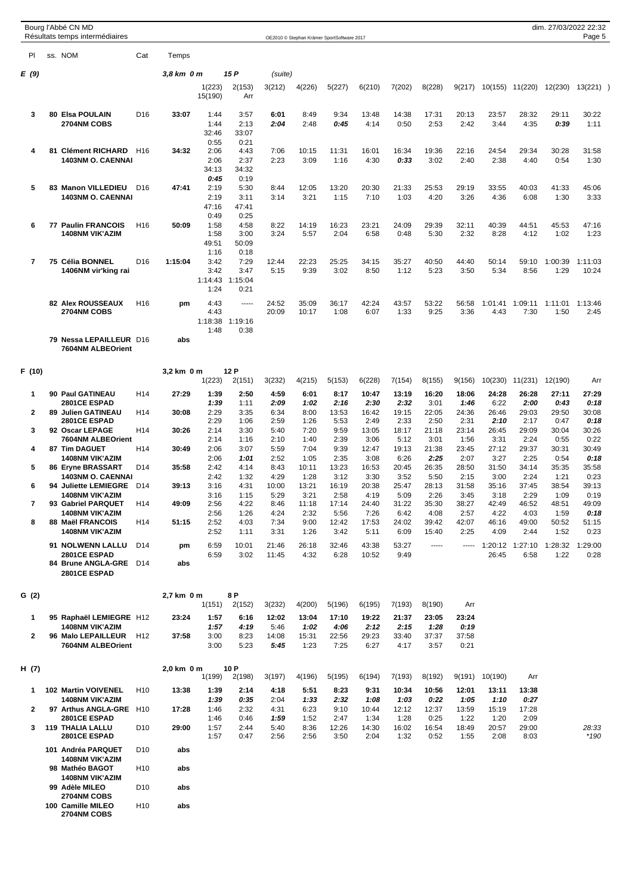|      | Bourg l'Abbé CN MD<br>Résultats temps intermédiaires |                 |            |                   |               |         |        | OE2010 © Stephan Krämer SportSoftware 2017 |        |        |        |        |         |         |         | dim. 27/03/2022 22:32<br>Page 5 |
|------|------------------------------------------------------|-----------------|------------|-------------------|---------------|---------|--------|--------------------------------------------|--------|--------|--------|--------|---------|---------|---------|---------------------------------|
| PI   | ss. NOM                                              | Cat             | Temps      |                   |               |         |        |                                            |        |        |        |        |         |         |         |                                 |
| E(9) |                                                      |                 | 3,8 km 0 m |                   | 15 P          | (suite) |        |                                            |        |        |        |        |         |         |         |                                 |
|      |                                                      |                 |            | 1(223)<br>15(190) | 2(153)<br>Arr | 3(212)  | 4(226) | 5(227)                                     | 6(210) | 7(202) | 8(228) | 9(217) | 10(155) | 11(220) | 12(230) | 13(221)                         |
| 3    | 80 Elsa POULAIN                                      | D <sub>16</sub> | 33:07      | 1:44              | 3:57          | 6:01    | 8:49   | 9:34                                       | 13:48  | 14:38  | 17:31  | 20:13  | 23:57   | 28:32   | 29:11   | 30:22                           |
|      | 2704NM COBS                                          |                 |            | 1:44<br>32:46     | 2:13<br>33:07 | 2:04    | 2:48   | 0:45                                       | 4:14   | 0:50   | 2:53   | 2:42   | 3:44    | 4:35    | 0:39    | 1:11                            |

|   |    |                          |                 |         | 0:55    | 0:21    |       |       |       |       |       |       |       |         |         |         |         |
|---|----|--------------------------|-----------------|---------|---------|---------|-------|-------|-------|-------|-------|-------|-------|---------|---------|---------|---------|
| 4 | 81 | <b>Clément RICHARD</b>   | H <sub>16</sub> | 34:32   | 2:06    | 4:43    | 7:06  | 10:15 | 11:31 | 16:01 | 16:34 | 19:36 | 22:16 | 24:54   | 29:34   | 30:28   | 31:58   |
|   |    | <b>1403NM O. CAENNAI</b> |                 |         | 2:06    | 2:37    | 2:23  | 3:09  | 1:16  | 4:30  | 0:33  | 3:02  | 2:40  | 2:38    | 4:40    | 0:54    | 1:30    |
|   |    |                          |                 |         | 34:13   | 34:32   |       |       |       |       |       |       |       |         |         |         |         |
|   |    |                          |                 |         | 0:45    | 0:19    |       |       |       |       |       |       |       |         |         |         |         |
| 5 |    | 83 Manon VILLEDIEU       | D <sub>16</sub> | 47:41   | 2:19    | 5:30    | 8:44  | 12:05 | 13:20 | 20:30 | 21:33 | 25:53 | 29:19 | 33:55   | 40:03   | 41:33   | 45:06   |
|   |    | <b>1403NM O. CAENNAI</b> |                 |         | 2:19    | 3:11    | 3:14  | 3:21  | 1:15  | 7:10  | 1:03  | 4:20  | 3:26  | 4:36    | 6:08    | 1:30    | 3:33    |
|   |    |                          |                 |         | 47:16   | 47:41   |       |       |       |       |       |       |       |         |         |         |         |
|   |    |                          |                 |         | 0:49    | 0:25    |       |       |       |       |       |       |       |         |         |         |         |
| 6 | 77 | <b>Paulin FRANCOIS</b>   | H <sub>16</sub> | 50:09   | 1:58    | 4:58    | 8:22  | 14:19 | 16:23 | 23:21 | 24:09 | 29:39 | 32:11 | 40:39   | 44:51   | 45:53   | 47:16   |
|   |    | <b>1408NM VIK'AZIM</b>   |                 |         | 1:58    | 3:00    | 3:24  | 5:57  | 2:04  | 6:58  | 0:48  | 5:30  | 2:32  | 8:28    | 4:12    | 1:02    | 1:23    |
|   |    |                          |                 |         | 49:51   | 50:09   |       |       |       |       |       |       |       |         |         |         |         |
|   |    |                          |                 |         | 1:16    | 0:18    |       |       |       |       |       |       |       |         |         |         |         |
| 7 |    | 75 Célia BONNEL          | D <sub>16</sub> | 1:15:04 | 3:42    | 7:29    | 12:44 | 22:23 | 25:25 | 34:15 | 35:27 | 40:50 | 44:40 | 50:14   | 59:10   | 1:00:39 | 1:11:03 |
|   |    | 1406NM vir'king rai      |                 |         | 3:42    | 3:47    | 5:15  | 9:39  | 3:02  | 8:50  | 1:12  | 5:23  | 3:50  | 5:34    | 8:56    | 1:29    | 10:24   |
|   |    |                          |                 |         | 1:14:43 | 1:15:04 |       |       |       |       |       |       |       |         |         |         |         |
|   |    |                          |                 |         | 1:24    | 0:21    |       |       |       |       |       |       |       |         |         |         |         |
|   |    | <b>82 Alex ROUSSEAUX</b> | H <sub>16</sub> | pm      | 4:43    | -----   | 24:52 | 35:09 | 36:17 | 42:24 | 43:57 | 53:22 | 56:58 | 1:01:41 | 1:09:11 | 1:11:01 | 1:13:46 |
|   |    | 2704NM COBS              |                 |         | 4:43    |         | 20:09 | 10:17 | 1:08  | 6:07  | 1:33  | 9:25  | 3:36  | 4:43    | 7:30    | 1:50    | 2:45    |
|   |    |                          |                 |         | 1:18:38 | 1:19:16 |       |       |       |       |       |       |       |         |         |         |         |
|   |    |                          |                 |         | 1:48    | 0:38    |       |       |       |       |       |       |       |         |         |         |         |
|   |    | 70 Nocco I EDAILLEUP D16 |                 | ahe     |         |         |       |       |       |       |       |       |       |         |         |         |         |

**79 Nessa LEPAILLEUR** D16 **abs 7604NM ALBEOrient**

| F (10) |                                                                 | 3,2 km 0 m    | 12 P   |        |        |        |        |        |        |        |         |         |         |        |
|--------|-----------------------------------------------------------------|---------------|--------|--------|--------|--------|--------|--------|--------|--------|---------|---------|---------|--------|
|        |                                                                 | 1(223)        | 2(151) | 3(232) | 4(215) | 5(153) | 6(228) | 7(154) | 8(155) | 9(156) | 10(230) | 11(231) | 12(190) | Arr    |
|        | <b>Paul GATINEAU</b><br>H <sub>14</sub><br>90                   | 27:29<br>1:39 | 2:50   | 4:59   | 6:01   | 8:17   | 10:47  | 13:19  | 16:20  | 18:06  | 24:28   | 26:28   | 27:11   | 27:29  |
|        | 2801CE ESPAD                                                    | 1:39          | 1:11   | 2:09   | 1:02   | 2:16   | 2:30   | 2:32   | 3:01   | 1:46   | 6:22    | 2:00    | 0:43    | 0:18   |
| 2      | <b>Julien GATINEAU</b><br>H <sub>14</sub><br>89                 | 2:29<br>30:08 | 3:35   | 6:34   | 8:00   | 13:53  | 16:42  | 19:15  | 22:05  | 24:36  | 26:46   | 29:03   | 29:50   | 30:08  |
|        | 2801CE ESPAD                                                    | 2:29          | 1:06   | 2:59   | 1:26   | 5:53   | 2:49   | 2:33   | 2:50   | 2:31   | 2:10    | 2:17    | 0:47    | 0:18   |
| 3      | <b>Oscar LEPAGE</b><br>H <sub>14</sub><br>92                    | 30:26<br>2:14 | 3:30   | 5:40   | 7:20   | 9:59   | 13:05  | 18:17  | 21:18  | 23:14  | 26:45   | 29:09   | 30:04   | 30:26  |
|        | 7604NM ALBEOrient                                               | 2:14          | 1:16   | 2:10   | 1:40   | 2:39   | 3:06   | 5:12   | 3:01   | 1:56   | 3:31    | 2:24    | 0:55    | 0:22   |
| 4      | <b>Tim DAGUET</b><br>H <sub>14</sub><br>87                      | 2:06<br>30:49 | 3:07   | 5:59   | 7:04   | 9:39   | 12:47  | 19:13  | 21:38  | 23:45  | 27:12   | 29:37   | 30:31   | 30:49  |
|        | 1408NM VIK'AZIM                                                 | 2:06          | 1:01   | 2:52   | 1:05   | 2:35   | 3:08   | 6:26   | 2:25   | 2:07   | 3:27    | 2:25    | 0:54    | 0:18   |
| 5      | <b>Ervne BRASSART</b><br>D <sub>14</sub><br>86                  | 2:42<br>35:58 | 4:14   | 8:43   | 10:11  | 13:23  | 16:53  | 20:45  | 26:35  | 28:50  | 31:50   | 34:14   | 35:35   | 35:58  |
|        | <b>1403NM O. CAENNAI</b>                                        | 2:42          | 1:32   | 4:29   | 1:28   | 3:12   | 3:30   | 3:52   | 5:50   | 2:15   | 3:00    | 2:24    | 1:21    | 0:23   |
| 6      | <b>Juliette LEMIEGRE</b><br>D <sub>14</sub><br>94               | 3:16<br>39:13 | 4:31   | 10:00  | 13:21  | 16:19  | 20:38  | 25:47  | 28:13  | 31:58  | 35:16   | 37:45   | 38:54   | 39:13  |
|        | 1408NM VIK'AZIM                                                 | 3:16          | 1:15   | 5:29   | 3:21   | 2:58   | 4:19   | 5:09   | 2:26   | 3:45   | 3:18    | 2:29    | 1:09    | 0:19   |
|        | <b>Gabriel PARQUET</b><br>H <sub>14</sub><br>93                 | 2:56<br>49:09 | 4:22   | 8:46   | 11:18  | 17:14  | 24:40  | 31:22  | 35:30  | 38:27  | 42:49   | 46:52   | 48:51   | 49:09  |
|        | <b>1408NM VIK'AZIM</b>                                          | 2:56          | 1:26   | 4:24   | 2:32   | 5:56   | 7:26   | 6:42   | 4:08   | 2:57   | 4:22    | 4:03    | 1:59    | 0:18   |
| 8      | <b>Maël FRANCOIS</b><br>H <sub>14</sub><br>88                   | 51:15<br>2:52 | 4:03   | 7:34   | 9:00   | 12:42  | 17:53  | 24:02  | 39:42  | 42:07  | 46:16   | 49:00   | 50:52   | 51:15  |
|        | 1408NM VIK'AZIM                                                 | 2:52          | 1:11   | 3:31   | 1:26   | 3:42   | 5:11   | 6:09   | 15:40  | 2:25   | 4:09    | 2:44    | 1:52    | 0:23   |
|        | <b>NOLWENN LALLU</b><br>D <sub>14</sub><br>91                   | 6:59<br>pm    | 10:01  | 21:46  | 26:18  | 32:46  | 43:38  | 53:27  | -----  | -----  | :20:12  | 1:27:10 | :28:32  | :29:00 |
|        | 2801CE ESPAD                                                    | 6:59          | 3:02   | 11:45  | 4:32   | 6:28   | 10:52  | 9:49   |        |        | 26:45   | 6:58    | 1:22    | 0:28   |
|        | <b>Brune ANGLA-GRE</b><br>D <sub>14</sub><br>84<br>2801CE ESPAD | abs           |        |        |        |        |        |        |        |        |         |         |         |        |

| G (2) |                                       | 2.7 km 0 m |        | 8 P    |        |        |        |        |        |        |       |
|-------|---------------------------------------|------------|--------|--------|--------|--------|--------|--------|--------|--------|-------|
|       |                                       |            | 1(151) | 2(152) | 3(232) | 4(200) | 5(196) | 6(195) | 7(193) | 8(190) | Arr   |
|       | 95 Raphaël LEMIEGRE H12               | 23:24      | 1:57   | 6:16   | 12:02  | 13:04  | 17:10  | 19:22  | 21:37  | 23:05  | 23:24 |
|       | <b>1408NM VIK'AZIM</b>                |            | 1:57   | 4:19   | 5:46   | 1:02   | 4:06   | 2:12   | 2:15   | 1:28   | 0:19  |
|       | H <sub>12</sub><br>96 Malo LEPAILLEUR | 37:58      | 3:00   | 8:23   | 14:08  | 15:31  | 22:56  | 29:23  | 33:40  | 37:37  | 37:58 |
|       | 7604NM ALBEOrient                     |            | 3:00   | 5:23   | 5:45   | 1:23   | 7:25   | 6:27   | 4:17   | 3:57   | 0:21  |

| H (7) |     |                                                  |                 | 2,0 km 0 m |              | 10 P         |              |              |               |               |               |               |               |               |               |                 |
|-------|-----|--------------------------------------------------|-----------------|------------|--------------|--------------|--------------|--------------|---------------|---------------|---------------|---------------|---------------|---------------|---------------|-----------------|
|       |     |                                                  |                 |            | 1(199)       | 2(198)       | 3(197)       | 4(196)       | 5(195)        | 6(194)        | 7(193)        | 8(192)        | 9(191)        | 10(190)       | Arr           |                 |
|       | 102 | <b>Martin VOIVENEL</b><br><b>1408NM VIK'AZIM</b> | H <sub>10</sub> | 13:38      | 1:39<br>1:39 | 2:14<br>0:35 | 4:18<br>2:04 | 5:51<br>1:33 | 8:23<br>2:32  | 9:31<br>1.08  | 10:34<br>1:03 | 10:56<br>0:22 | 12:01<br>1:05 | 13:11<br>1:10 | 13:38<br>0:27 |                 |
| 2     | 97  | <b>Arthus ANGLA-GRE</b><br>2801CE ESPAD          | H <sub>10</sub> | 17:28      | 1:46<br>1:46 | 2:32<br>0:46 | 4:31<br>1:59 | 6:23<br>1:52 | 9:10<br>2:47  | 10:44<br>1:34 | 12:12<br>1:28 | 12:37<br>0:25 | 13:59<br>1:22 | 15:19<br>1:20 | 17:28<br>2:09 |                 |
| 3     | 119 | <b>THALIA LALLU</b><br>2801CE ESPAD              | D <sub>10</sub> | 29:00      | 1:57<br>1:57 | 2:44<br>0:47 | 5:40<br>2:56 | 8:36<br>2:56 | 12:26<br>3:50 | 14:30<br>2:04 | 16:02<br>1:32 | 16:54<br>0:52 | 18:49<br>1:55 | 20:57<br>2:08 | 29:00<br>8:03 | 28:33<br>$*190$ |
|       | 101 | Andréa PARQUET<br><b>1408NM VIK'AZIM</b>         | D <sub>10</sub> | abs        |              |              |              |              |               |               |               |               |               |               |               |                 |
|       |     | 98 Mathéo BAGOT<br><b>1408NM VIK'AZIM</b>        | H <sub>10</sub> | abs        |              |              |              |              |               |               |               |               |               |               |               |                 |
|       |     | 99 Adèle MILEO<br>2704NM COBS                    | D <sub>10</sub> | abs        |              |              |              |              |               |               |               |               |               |               |               |                 |

**100 Camille MILEO** H10 **abs**

**2704NM COBS**